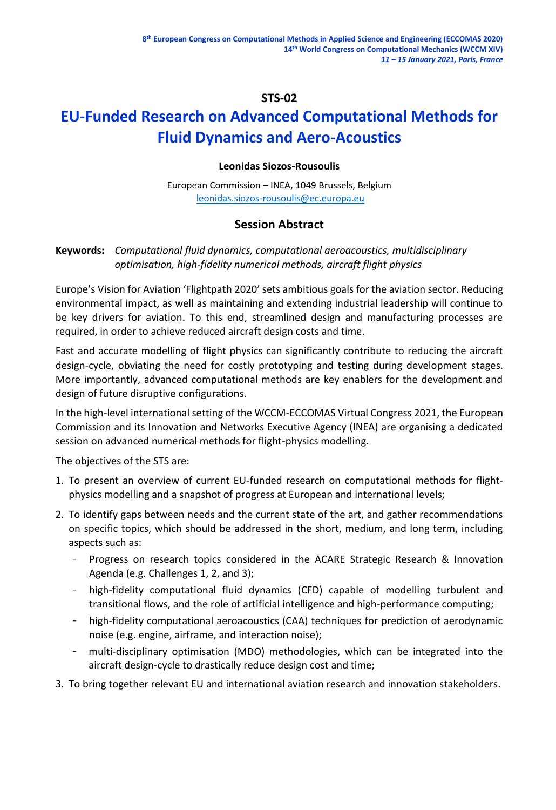# **STS-02**

# **EU-Funded Research on Advanced Computational Methods for Fluid Dynamics and Aero-Acoustics**

## **Leonidas Siozos-Rousoulis**

European Commission – INEA, 1049 Brussels, Belgium [leonidas.siozos-rousoulis@ec.europa.eu](mailto:leonidas.siozos-rousoulis@ec.europa.eu)

# **Session Abstract**

## **Keywords:** *Computational fluid dynamics, computational aeroacoustics, multidisciplinary optimisation, high-fidelity numerical methods, aircraft flight physics*

Europe's Vision for Aviation 'Flightpath 2020' sets ambitious goals for the aviation sector. Reducing environmental impact, as well as maintaining and extending industrial leadership will continue to be key drivers for aviation. To this end, streamlined design and manufacturing processes are required, in order to achieve reduced aircraft design costs and time.

Fast and accurate modelling of flight physics can significantly contribute to reducing the aircraft design-cycle, obviating the need for costly prototyping and testing during development stages. More importantly, advanced computational methods are key enablers for the development and design of future disruptive configurations.

In the high-level international setting of the WCCM-ECCOMAS Virtual Congress 2021, the European Commission and its Innovation and Networks Executive Agency (INEA) are organising a dedicated session on advanced numerical methods for flight-physics modelling.

The objectives of the STS are:

- 1. To present an overview of current EU-funded research on computational methods for flightphysics modelling and a snapshot of progress at European and international levels;
- 2. To identify gaps between needs and the current state of the art, and gather recommendations on specific topics, which should be addressed in the short, medium, and long term, including aspects such as:
	- Progress on research topics considered in the ACARE Strategic Research & Innovation Agenda (e.g. Challenges 1, 2, and 3);
	- high-fidelity computational fluid dynamics (CFD) capable of modelling turbulent and transitional flows, and the role of artificial intelligence and high-performance computing;
	- high-fidelity computational aeroacoustics (CAA) techniques for prediction of aerodynamic noise (e.g. engine, airframe, and interaction noise);
	- multi-disciplinary optimisation (MDO) methodologies, which can be integrated into the aircraft design-cycle to drastically reduce design cost and time;
- 3. To bring together relevant EU and international aviation research and innovation stakeholders.